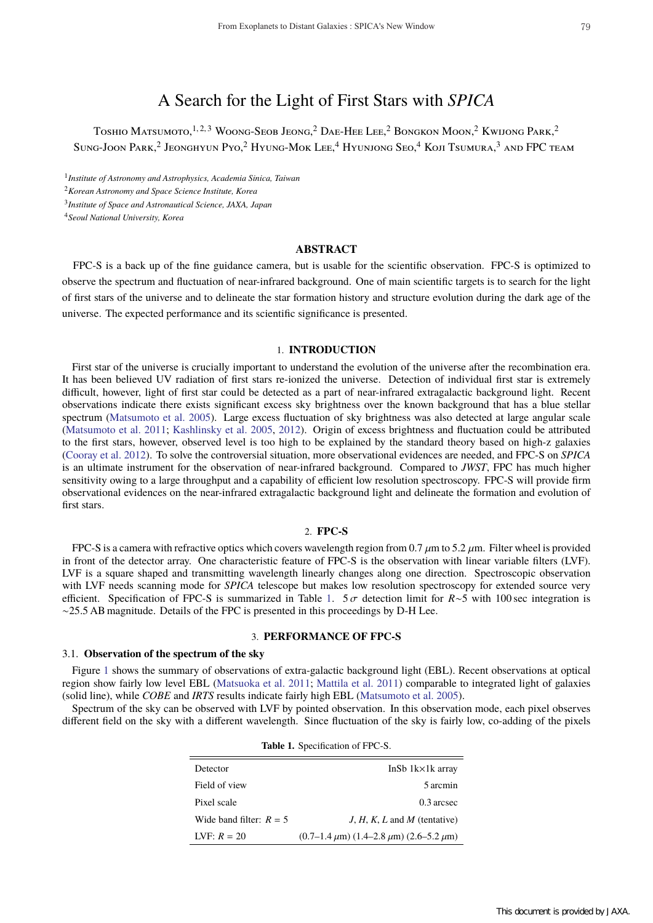# A Search for the Light of First Stars with *SPICA*

Toshio Matsumoto,<sup>1, 2, 3</sup> Woong-Seob Jeong,<sup>2</sup> Dae-Hee Lee,<sup>2</sup> Bongkon Moon,<sup>2</sup> Kwijong Park,<sup>2</sup> Sung-Joon Park,<sup>2</sup> Jeonghyun Pyo,<sup>2</sup> Hyung-Mok Lee,<sup>4</sup> Hyunjong Seo,<sup>4</sup> Koji Tsumura,<sup>3</sup> and FPC team

<sup>1</sup>*Institute of Astronomy and Astrophysics, Academia Sinica, Taiwan*

<sup>2</sup>*Korean Astronomy and Space Science Institute, Korea*

<sup>3</sup>*Institute of Space and Astronautical Science, JAXA, Japan*

<sup>4</sup>*Seoul National University, Korea*

# **ABSTRACT**

FPC-S is a back up of the fine guidance camera, but is usable for the scientific observation. FPC-S is optimized to observe the spectrum and fluctuation of near-infrared background. One of main scientific targets is to search for the light of first stars of the universe and to delineate the star formation history and structure evolution during the dark age of the universe. The expected performance and its scientific significance is presented.

#### 1. **INTRODUCTION**

First star of the universe is crucially important to understand the evolution of the universe after the recombination era. It has been believed UV radiation of first stars re-ionized the universe. Detection of individual first star is extremely difficult, however, light of first star could be detected as a part of near-infrared extragalactic background light. Recent observations indicate there exists significant excess sky brightness over the known background that has a blue stellar spectrum (Matsumoto et al. 2005). Large excess fluctuation of sky brightness was also detected at large angular scale (Matsumoto et al. 2011; Kashlinsky et al. 2005, 2012). Origin of excess brightness and fluctuation could be attributed to the first stars, however, observed level is too high to be explained by the standard theory based on high-z galaxies (Cooray et al. 2012). To solve the controversial situation, more observational evidences are needed, and FPC-S on *SPICA* is an ultimate instrument for the observation of near-infrared background. Compared to *JWST*, FPC has much higher sensitivity owing to a large throughput and a capability of efficient low resolution spectroscopy. FPC-S will provide firm observational evidences on the near-infrared extragalactic background light and delineate the formation and evolution of first stars.

#### 2. **FPC-S**

FPC-S is a camera with refractive optics which covers wavelength region from 0.7  $\mu$ m to 5.2  $\mu$ m. Filter wheel is provided in front of the detector array. One characteristic feature of FPC-S is the observation with linear variable filters (LVF). LVF is a square shaped and transmitting wavelength linearly changes along one direction. Spectroscopic observation with LVF needs scanning mode for *SPICA* telescope but makes low resolution spectroscopy for extended source very efficient. Specification of FPC-S is summarized in Table 1. 5 σ detection limit for *R*∼5 with 100 sec integration is ∼25.5 AB magnitude. Details of the FPC is presented in this proceedings by D-H Lee.

#### 3. **PERFORMANCE OF FPC-S**

### 3.1. **Observation of the spectrum of the sky**

Figure 1 shows the summary of observations of extra-galactic background light (EBL). Recent observations at optical region show fairly low level EBL (Matsuoka et al. 2011; Mattila et al. 2011) comparable to integrated light of galaxies (solid line), while *COBE* and *IRTS* results indicate fairly high EBL (Matsumoto et al. 2005).

Spectrum of the sky can be observed with LVF by pointed observation. In this observation mode, each pixel observes different field on the sky with a different wavelength. Since fluctuation of the sky is fairly low, co-adding of the pixels

**Table 1.** Specification of FPC-S.

| <b>Table 1.</b> Specification of FPC-S. |                                                                               |
|-----------------------------------------|-------------------------------------------------------------------------------|
| Detector                                | InSb 1k×1k array                                                              |
| Field of view                           | 5 arcmin                                                                      |
| Pixel scale                             | $0.3$ arcsec                                                                  |
| Wide band filter: $R = 5$               | $J, H, K, L$ and M (tentative)                                                |
| LVF: $R = 20$                           | $(0.7-1.4 \,\mu\text{m})$ $(1.4-2.8 \,\mu\text{m})$ $(2.6-5.2 \,\mu\text{m})$ |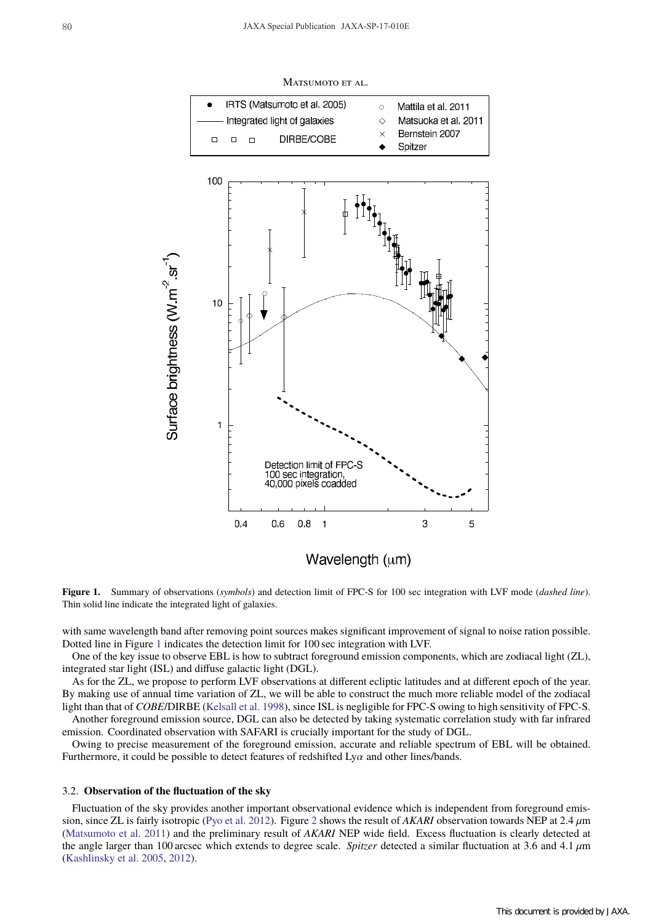

**Figure 1.** Summary of observations (*symbols*) and detection limit of FPC-S for 100 sec integration with LVF mode (*dashed line*).

with same wavelength band after removing point sources makes significant improvement of signal to noise ration possible. Dotted line in Figure 1 indicates the detection limit for 100 sec integration with LVF.

One of the key issue to observe EBL is how to subtract foreground emission components, which are zodiacal light (ZL), integrated star light (ISL) and diffuse galactic light (DGL).

As for the ZL, we propose to perform LVF observations at different ecliptic latitudes and at different epoch of the year. By making use of annual time variation of ZL, we will be able to construct the much more reliable model of the zodiacal light than that of *COBE*/DIRBE (Kelsall et al. 1998), since ISL is negligible for FPC-S owing to high sensitivity of FPC-S. Another foreground emission source, DGL can also be detected by taking systematic correlation study with far infrared

emission. Coordinated observation with SAFARI is crucially important for the study of DGL. Owing to precise measurement of the foreground emission, accurate and reliable spectrum of EBL will be obtained.

Furthermore, it could be possible to detect features of redshifted  $Ly\alpha$  and other lines/bands.

#### 3.2. **Observation of the fluctuation of the sky**

Thin solid line indicate the integrated light of galaxies.

Fluctuation of the sky provides another important observational evidence which is independent from foreground emission, since ZL is fairly isotropic (Pyo et al. 2012). Figure 2 shows the result of *AKARI* observation towards NEP at 2.4 µm (Matsumoto et al. 2011) and the preliminary result of *AKARI* NEP wide field. Excess fluctuation is clearly detected at the angle larger than 100 arcsec which extends to degree scale. *Spitzer* detected a similar fluctuation at 3.6 and 4.1  $\mu$ m (Kashlinsky et al. 2005, 2012).